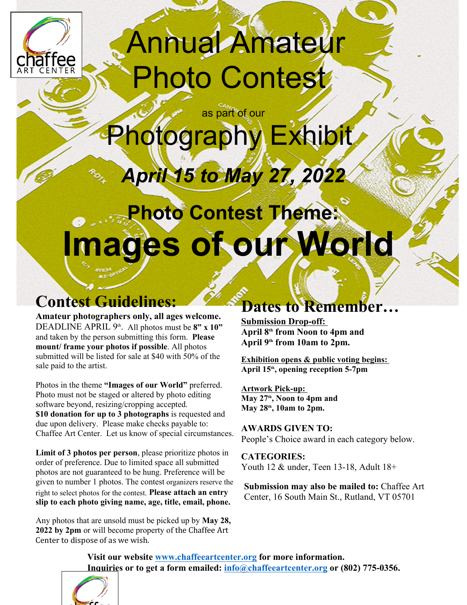

## Annual Amateur Photo Contest

as part of our

Photography Exhibit

# *April 15 to May 27, 2022*

### **Photo Contest Theme: Images of our World**

### **Contest Guidelines:**

**Amateur photographers only, all ages welcome.** DEADLINE APRIL  $9<sup>th</sup>$ . All photos must be  $8<sup>m</sup>$  x  $10<sup>m</sup>$  **April**  $9<sup>th</sup>$  **from N** and taken by the person submitting this form. **Please mount/ frame your photos if possible**. All photos submitted will be listed for sale at \$40 with 50% of the sale paid to the artist.

Photos in the theme **"Images of our World"** preferred. Photo must not be staged or altered by photo editing software beyond, resizing/cropping accepted. **\$10 donation for up to 3 photographs** is requested and due upon delivery. Please make checks payable to: Chaffee Art Center. Let us know of special circumstances.

**Limit of 3 photos per person**, please prioritize photos in order of preference. Due to limited space all submitted photos are not guaranteed to be hung. Preference will be given to number 1 photos. The contest organizers reserve the right to select photos for the contest. **Please attach an entry slip to each photo giving name, age, title, email, phone.**

Any photos that are unsold must be picked up by **May 28, 2022 by 2pm** or will become property of the Chaffee Art Center to dispose of as we wish.

#### **Dates to Remember…**

**Submission Drop-off: April 8th from Noon to 4pm and April 9th from 10am to 2pm.**

**Exhibition opens & public voting begins: April 15th, opening reception 5-7pm**

**Artwork Pick-up: May 27th, Noon to 4pm and May 28th, 10am to 2pm.**

**AWARDS GIVEN TO:** People's Choice award in each category below.

**CATEGORIES:** Youth 12 & under, Teen 13-18, Adult 18+

**Submission may also be mailed to:** Chaffee Art Center, 16 South Main St., Rutland, VT 05701

**Visit our website www.chaffeeartcenter.org for more information. Inquiries or to get a form emailed: info@chaffeeartcenter.org or (802) 775-0356.**